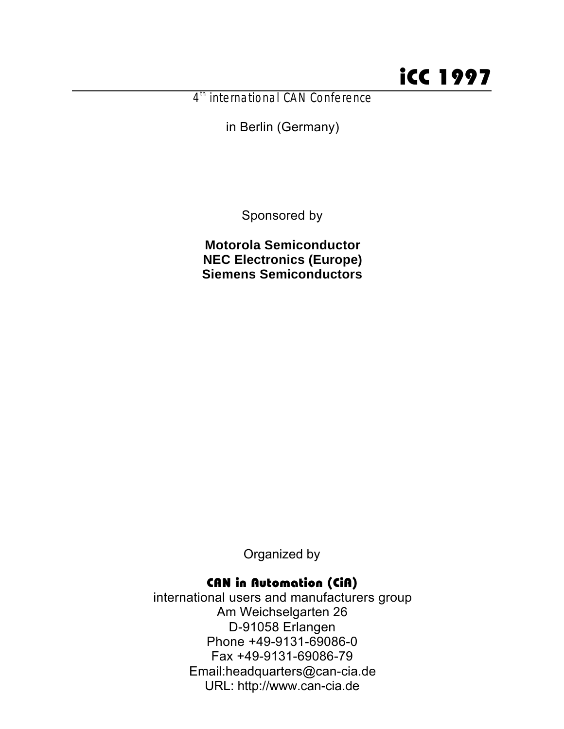# iCC 1997

4<sup>th</sup> international CAN Conference

in Berlin (Germany)

Sponsored by

**Motorola Semiconductor NEC Electronics (Europe) Siemens Semiconductors**

Organized by

### CAN in Automation (CiA)

international users and manufacturers group Am Weichselgarten 26 D-91058 Erlangen Phone +49-9131-69086-0 Fax +49-9131-69086-79 Email:headquarters@can-cia.de URL: http://www.can-cia.de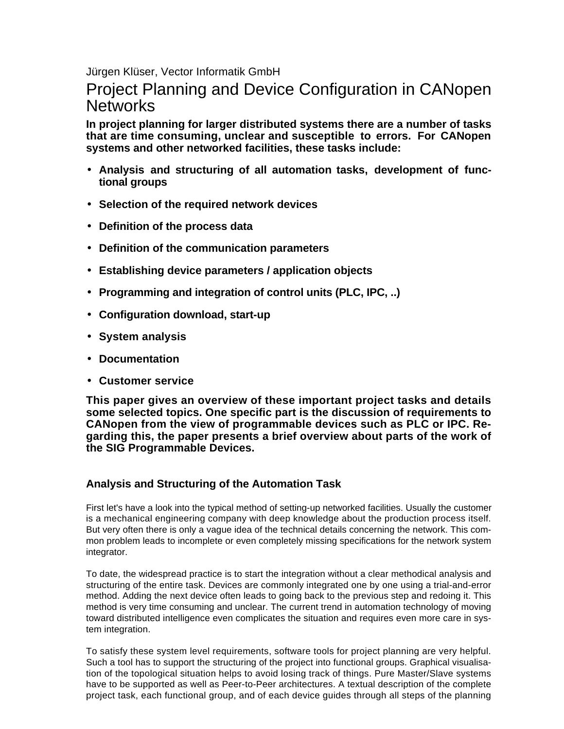Jürgen Klüser, Vector Informatik GmbH

## Project Planning and Device Configuration in CANopen **Networks**

**In project planning for larger distributed systems there are a number of tasks that are time consuming, unclear and susceptible to errors. For CANopen systems and other networked facilities, these tasks include:**

- **Analysis and structuring of all automation tasks, development of functional groups**
- **Selection of the required network devices**
- **Definition of the process data**
- **Definition of the communication parameters**
- **Establishing device parameters / application objects**
- **Programming and integration of control units (PLC, IPC, ..)**
- **Configuration download, start-up**
- **System analysis**
- **Documentation**
- **Customer service**

**This paper gives an overview of these important project tasks and details some selected topics. One specific part is the discussion of requirements to CANopen from the view of programmable devices such as PLC or IPC. Regarding this, the paper presents a brief overview about parts of the work of the SIG Programmable Devices.**

#### **Analysis and Structuring of the Automation Task**

First let's have a look into the typical method of setting-up networked facilities. Usually the customer is a mechanical engineering company with deep knowledge about the production process itself. But very often there is only a vague idea of the technical details concerning the network. This common problem leads to incomplete or even completely missing specifications for the network system integrator.

To date, the widespread practice is to start the integration without a clear methodical analysis and structuring of the entire task. Devices are commonly integrated one by one using a trial-and-error method. Adding the next device often leads to going back to the previous step and redoing it. This method is very time consuming and unclear. The current trend in automation technology of moving toward distributed intelligence even complicates the situation and requires even more care in system integration.

To satisfy these system level requirements, software tools for project planning are very helpful. Such a tool has to support the structuring of the project into functional groups. Graphical visualisation of the topological situation helps to avoid losing track of things. Pure Master/Slave systems have to be supported as well as Peer-to-Peer architectures. A textual description of the complete project task, each functional group, and of each device guides through all steps of the planning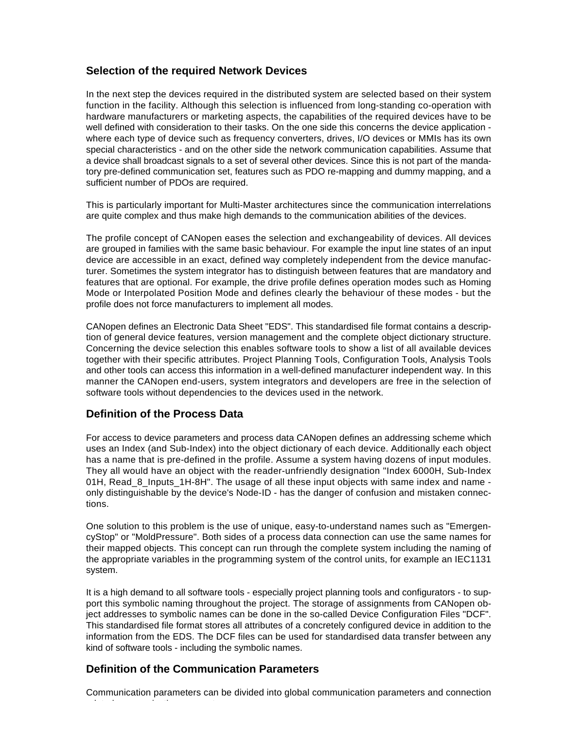#### **Selection of the required Network Devices**

In the next step the devices required in the distributed system are selected based on their system function in the facility. Although this selection is influenced from long-standing co-operation with hardware manufacturers or marketing aspects, the capabilities of the required devices have to be well defined with consideration to their tasks. On the one side this concerns the device application where each type of device such as frequency converters, drives, I/O devices or MMIs has its own special characteristics - and on the other side the network communication capabilities. Assume that a device shall broadcast signals to a set of several other devices. Since this is not part of the mandatory pre-defined communication set, features such as PDO re-mapping and dummy mapping, and a sufficient number of PDOs are required.

This is particularly important for Multi-Master architectures since the communication interrelations are quite complex and thus make high demands to the communication abilities of the devices.

The profile concept of CANopen eases the selection and exchangeability of devices. All devices are grouped in families with the same basic behaviour. For example the input line states of an input device are accessible in an exact, defined way completely independent from the device manufacturer. Sometimes the system integrator has to distinguish between features that are mandatory and features that are optional. For example, the drive profile defines operation modes such as Homing Mode or Interpolated Position Mode and defines clearly the behaviour of these modes - but the profile does not force manufacturers to implement all modes.

CANopen defines an Electronic Data Sheet "EDS". This standardised file format contains a description of general device features, version management and the complete object dictionary structure. Concerning the device selection this enables software tools to show a list of all available devices together with their specific attributes. Project Planning Tools, Configuration Tools, Analysis Tools and other tools can access this information in a well-defined manufacturer independent way. In this manner the CANopen end-users, system integrators and developers are free in the selection of software tools without dependencies to the devices used in the network.

#### **Definition of the Process Data**

For access to device parameters and process data CANopen defines an addressing scheme which uses an Index (and Sub-Index) into the object dictionary of each device. Additionally each object has a name that is pre-defined in the profile. Assume a system having dozens of input modules. They all would have an object with the reader-unfriendly designation "Index 6000H, Sub-Index 01H, Read\_8\_Inputs\_1H-8H". The usage of all these input objects with same index and name only distinguishable by the device's Node-ID - has the danger of confusion and mistaken connections.

One solution to this problem is the use of unique, easy-to-understand names such as "EmergencyStop" or "MoldPressure". Both sides of a process data connection can use the same names for their mapped objects. This concept can run through the complete system including the naming of the appropriate variables in the programming system of the control units, for example an IEC1131 system.

It is a high demand to all software tools - especially project planning tools and configurators - to support this symbolic naming throughout the project. The storage of assignments from CANopen object addresses to symbolic names can be done in the so-called Device Configuration Files "DCF". This standardised file format stores all attributes of a concretely configured device in addition to the information from the EDS. The DCF files can be used for standardised data transfer between any kind of software tools - including the symbolic names.

#### **Definition of the Communication Parameters**

related communication parameters.

Communication parameters can be divided into global communication parameters and connection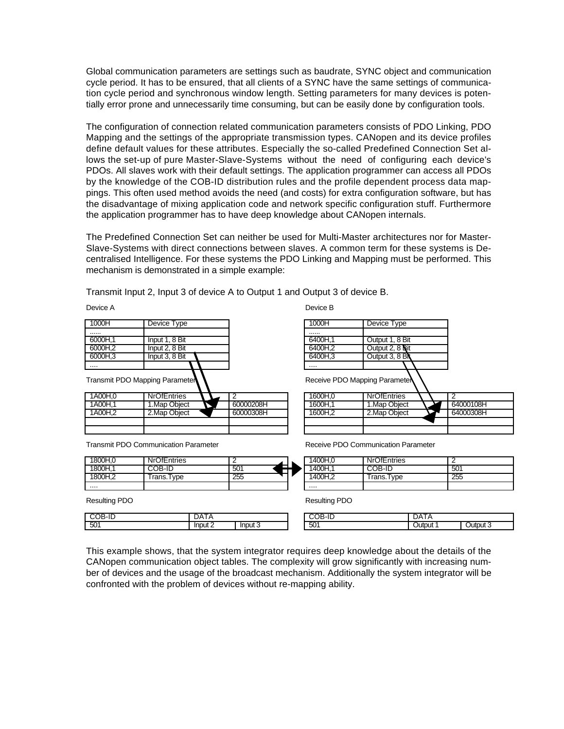Global communication parameters are settings such as baudrate, SYNC object and communication cycle period. It has to be ensured, that all clients of a SYNC have the same settings of communication cycle period and synchronous window length. Setting parameters for many devices is potentially error prone and unnecessarily time consuming, but can be easily done by configuration tools.

The configuration of connection related communication parameters consists of PDO Linking, PDO Mapping and the settings of the appropriate transmission types. CANopen and its device profiles define default values for these attributes. Especially the so-called Predefined Connection Set allows the set-up of pure Master-Slave-Systems without the need of configuring each device's PDOs. All slaves work with their default settings. The application programmer can access all PDOs by the knowledge of the COB-ID distribution rules and the profile dependent process data mappings. This often used method avoids the need (and costs) for extra configuration software, but has the disadvantage of mixing application code and network specific configuration stuff. Furthermore the application programmer has to have deep knowledge about CANopen internals.

The Predefined Connection Set can neither be used for Multi-Master architectures nor for Master-Slave-Systems with direct connections between slaves. A common term for these systems is Decentralised Intelligence. For these systems the PDO Linking and Mapping must be performed. This mechanism is demonstrated in a simple example:

Device B

Transmit Input 2, Input 3 of device A to Output 1 and Output 3 of device B.

Device A

| 1000H                          | Device Type                                 |           | 1000H                        | Device Type        |
|--------------------------------|---------------------------------------------|-----------|------------------------------|--------------------|
|                                |                                             |           |                              |                    |
| 6000H.1                        | Input 1, 8 Bit                              |           | 6400H.1                      | Output 1, 8 Bit    |
| 6000H.2                        | Input 2, 8 Bit                              |           | 6400H.2                      | Output 2, 8 Bit    |
| 6000H.3                        | Input 3, 8 Bit                              |           | 6400H.3                      | Output 3, 8 BN     |
|                                |                                             |           |                              |                    |
| Transmit PDO Mapping Parameter |                                             |           | Receive PDO Mapping Paramete |                    |
| 1A00H.0                        | <b>NrOfEntries</b>                          | 2         | 1600H.0                      | <b>NrOfEntries</b> |
| 1A00H.1                        | 1. Map Object                               | 60000208H | 1600H.1                      | 1. Map Object      |
| 1A00H <sub>2</sub>             | 2. Map Object                               | 60000308H | 1600H <sub>2</sub>           | 2. Map Object      |
|                                |                                             |           |                              |                    |
|                                |                                             |           |                              |                    |
|                                | <b>Transmit PDO Communication Parameter</b> |           | Receive PDO Communication Pa |                    |
| 1800H.0                        | <b>NrOfEntries</b>                          | 2         | 1400H.0                      | <b>NrOfEntries</b> |
| 1800H.1                        | COB-ID                                      | 501       | 1400H.1                      | COB-ID             |

mmunication Parameter

| 1400H.O | NrOfEntries | ◠   |
|---------|-------------|-----|
| ⊺400H   | COB-ID      | 501 |
|         | Trans.Type  | 255 |
|         |             |     |

 $N$ rOfEntries  $\sqrt{2}$  2<br>1.Map Object  $\sqrt{2}$  64000108H

2.Map Object 2 64000308H

Resulting PDO

....

|     | <br>- |    |
|-----|-------|----|
| 501 |       | Ir |

1800H,2 Trans.Type 255

Resulting PDO

| مرر<br>11                 | .<br>11 L                  | יי             |  |
|---------------------------|----------------------------|----------------|--|
| Inp<br>Inp<br>ے πטי<br>лп | $\overline{r}$<br>~<br>vv. | . itni it<br>u |  |

This example shows, that the system integrator requires deep knowledge about the details of the CANopen communication object tables. The complexity will grow significantly with increasing number of devices and the usage of the broadcast mechanism. Additionally the system integrator will be confronted with the problem of devices without re-mapping ability.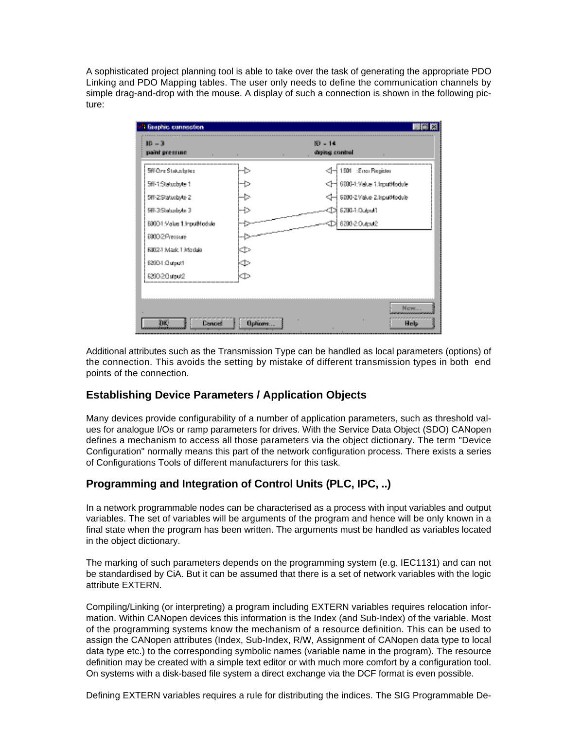A sophisticated project planning tool is able to take over the task of generating the appropriate PDO Linking and PDO Mapping tables. The user only needs to define the communication channels by simple drag-and-drop with the mouse. A display of such a connection is shown in the following picture:

| I finaphic connection        |               |                                |                    |
|------------------------------|---------------|--------------------------------|--------------------|
| $10 - 3$<br>paint pressure   |               | $10 - 14$<br>diging control    |                    |
| 589 Ozna Status betek        |               | <Ĵ⊣ 1501 : Engi Pisgidor       |                    |
| 5iř 1:Statusbyte 1           |               | <[十 6800-1:Veius 1.kgs#Module] |                    |
| 5W-2Statuobyte 2             |               | ∫ 5000-2∨ako 2.kpu04odulo      |                    |
| 58%3/Shahardaylar 3          |               | CD  6200-1:Output]             |                    |
| 88804 Makes 1. Input Nodisla |               | \$D  8200-20upu2               |                    |
| 60002Pressure                |               |                                |                    |
| EDD2-1 Mark 1 Mortula        | ¢             |                                |                    |
| 82001 Cutput1                | ±             |                                |                    |
| 62002.0utput2                | ¢             |                                |                    |
|                              |               |                                |                    |
|                              |               |                                | $N_{\text{CFT}}$ . |
|                              |               |                                |                    |
| ПK<br>Cancel                 | <b>Uphons</b> |                                | Help               |

Additional attributes such as the Transmission Type can be handled as local parameters (options) of the connection. This avoids the setting by mistake of different transmission types in both end points of the connection.

#### **Establishing Device Parameters / Application Objects**

Many devices provide configurability of a number of application parameters, such as threshold values for analogue I/Os or ramp parameters for drives. With the Service Data Object (SDO) CANopen defines a mechanism to access all those parameters via the object dictionary. The term "Device Configuration" normally means this part of the network configuration process. There exists a series of Configurations Tools of different manufacturers for this task.

#### **Programming and Integration of Control Units (PLC, IPC, ..)**

In a network programmable nodes can be characterised as a process with input variables and output variables. The set of variables will be arguments of the program and hence will be only known in a final state when the program has been written. The arguments must be handled as variables located in the object dictionary.

The marking of such parameters depends on the programming system (e.g. IEC1131) and can not be standardised by CiA. But it can be assumed that there is a set of network variables with the logic attribute EXTERN.

Compiling/Linking (or interpreting) a program including EXTERN variables requires relocation information. Within CANopen devices this information is the Index (and Sub-Index) of the variable. Most of the programming systems know the mechanism of a resource definition. This can be used to assign the CANopen attributes (Index, Sub-Index, R/W, Assignment of CANopen data type to local data type etc.) to the corresponding symbolic names (variable name in the program). The resource definition may be created with a simple text editor or with much more comfort by a configuration tool. On systems with a disk-based file system a direct exchange via the DCF format is even possible.

Defining EXTERN variables requires a rule for distributing the indices. The SIG Programmable De-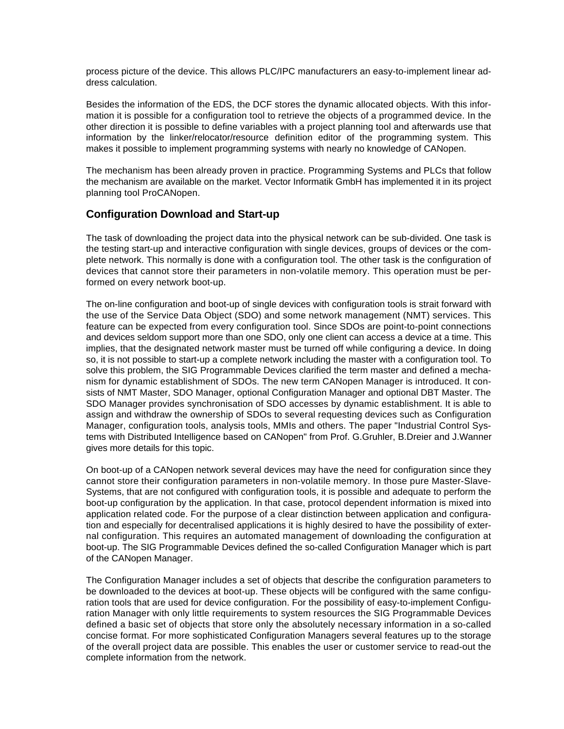process picture of the device. This allows PLC/IPC manufacturers an easy-to-implement linear address calculation.

Besides the information of the EDS, the DCF stores the dynamic allocated objects. With this information it is possible for a configuration tool to retrieve the objects of a programmed device. In the other direction it is possible to define variables with a project planning tool and afterwards use that information by the linker/relocator/resource definition editor of the programming system. This makes it possible to implement programming systems with nearly no knowledge of CANopen.

The mechanism has been already proven in practice. Programming Systems and PLCs that follow the mechanism are available on the market. Vector Informatik GmbH has implemented it in its project planning tool ProCANopen.

#### **Configuration Download and Start-up**

The task of downloading the project data into the physical network can be sub-divided. One task is the testing start-up and interactive configuration with single devices, groups of devices or the complete network. This normally is done with a configuration tool. The other task is the configuration of devices that cannot store their parameters in non-volatile memory. This operation must be performed on every network boot-up.

The on-line configuration and boot-up of single devices with configuration tools is strait forward with the use of the Service Data Object (SDO) and some network management (NMT) services. This feature can be expected from every configuration tool. Since SDOs are point-to-point connections and devices seldom support more than one SDO, only one client can access a device at a time. This implies, that the designated network master must be turned off while configuring a device. In doing so, it is not possible to start-up a complete network including the master with a configuration tool. To solve this problem, the SIG Programmable Devices clarified the term master and defined a mechanism for dynamic establishment of SDOs. The new term CANopen Manager is introduced. It consists of NMT Master, SDO Manager, optional Configuration Manager and optional DBT Master. The SDO Manager provides synchronisation of SDO accesses by dynamic establishment. It is able to assign and withdraw the ownership of SDOs to several requesting devices such as Configuration Manager, configuration tools, analysis tools, MMIs and others. The paper "Industrial Control Systems with Distributed Intelligence based on CANopen" from Prof. G.Gruhler, B.Dreier and J.Wanner gives more details for this topic.

On boot-up of a CANopen network several devices may have the need for configuration since they cannot store their configuration parameters in non-volatile memory. In those pure Master-Slave-Systems, that are not configured with configuration tools, it is possible and adequate to perform the boot-up configuration by the application. In that case, protocol dependent information is mixed into application related code. For the purpose of a clear distinction between application and configuration and especially for decentralised applications it is highly desired to have the possibility of external configuration. This requires an automated management of downloading the configuration at boot-up. The SIG Programmable Devices defined the so-called Configuration Manager which is part of the CANopen Manager.

The Configuration Manager includes a set of objects that describe the configuration parameters to be downloaded to the devices at boot-up. These objects will be configured with the same configuration tools that are used for device configuration. For the possibility of easy-to-implement Configuration Manager with only little requirements to system resources the SIG Programmable Devices defined a basic set of objects that store only the absolutely necessary information in a so-called concise format. For more sophisticated Configuration Managers several features up to the storage of the overall project data are possible. This enables the user or customer service to read-out the complete information from the network.